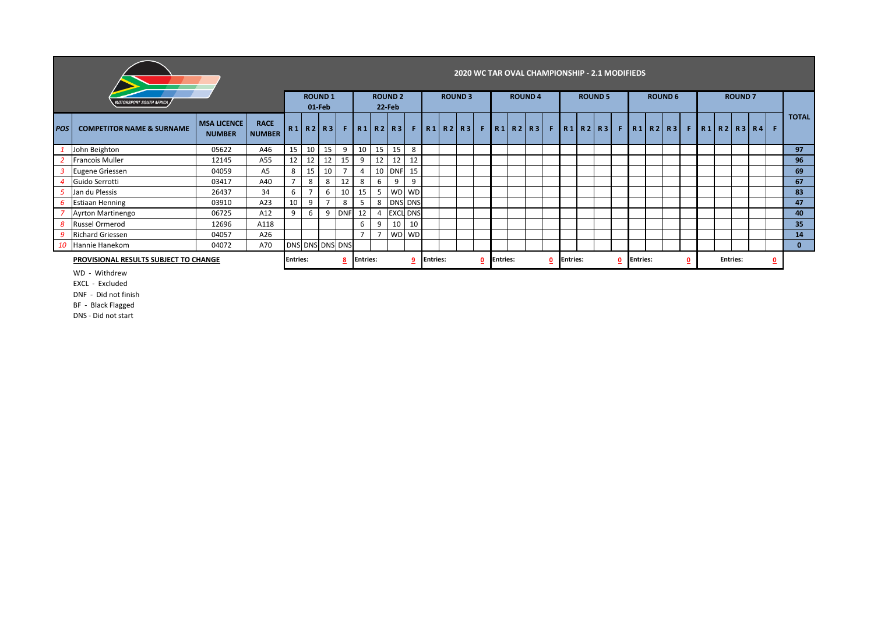|             |                                       | 2020 WC TAR OVAL CHAMPIONSHIP - 2.1 MODIFIEDS |                              |                       |                |                         |                      |                          |    |                                                  |                                |  |               |                 |  |  |                  |               |  |  |                |  |  |  |                                |  |               |  |  |                                                                                                       |              |                 |
|-------------|---------------------------------------|-----------------------------------------------|------------------------------|-----------------------|----------------|-------------------------|----------------------|--------------------------|----|--------------------------------------------------|--------------------------------|--|---------------|-----------------|--|--|------------------|---------------|--|--|----------------|--|--|--|--------------------------------|--|---------------|--|--|-------------------------------------------------------------------------------------------------------|--------------|-----------------|
|             | <i><b>MOTORSPORT SOUTH AFRICA</b></i> |                                               |                              |                       |                | <b>ROUND1</b><br>01-Feb |                      | <b>ROUND 2</b><br>22-Feb |    |                                                  |                                |  | <b>ROUND3</b> |                 |  |  |                  | <b>ROUND4</b> |  |  | <b>ROUND 5</b> |  |  |  | <b>ROUND 6</b>                 |  | <b>ROUND7</b> |  |  |                                                                                                       |              |                 |
| <b>IPOS</b> | <b>COMPETITOR NAME &amp; SURNAME</b>  | <b>MSA LICENCE</b><br><b>NUMBER</b>           | <b>RACE</b><br><b>NUMBER</b> |                       |                | R1 R2 R3                |                      |                          |    | $F$ R <sub>1</sub> R <sub>2</sub> R <sub>3</sub> |                                |  |               |                 |  |  |                  |               |  |  |                |  |  |  |                                |  |               |  |  | F   R1   R2   R3   F   R1   R2   R3   F   R1   R2   R3   F   R1   R2   R3   F   R1   R2   R3   R4   F |              | <b>TOTAL</b>    |
|             | John Beighton                         | 05622                                         | A46                          | 15                    | 10             | 15                      | 9                    | 10                       | 15 | 15                                               | 8                              |  |               |                 |  |  |                  |               |  |  |                |  |  |  |                                |  |               |  |  |                                                                                                       |              | 97              |
|             | <b>Francois Muller</b>                | 12145                                         | A55                          | 12                    | 12             | 12                      | 15                   | 9                        | 12 | 12                                               | 12                             |  |               |                 |  |  |                  |               |  |  |                |  |  |  |                                |  |               |  |  |                                                                                                       |              | 96              |
|             | Eugene Griessen                       | 04059                                         | A <sub>5</sub>               | 8                     | 15             | 10                      | Е.                   | $\overline{4}$           |    | 10 DNF                                           | 15                             |  |               |                 |  |  |                  |               |  |  |                |  |  |  |                                |  |               |  |  |                                                                                                       |              | 69              |
|             | Guido Serrotti                        | 03417                                         | A40                          |                       | 8              | 8                       | 12                   | 8                        | 6  | 9                                                | 9                              |  |               |                 |  |  |                  |               |  |  |                |  |  |  |                                |  |               |  |  |                                                                                                       |              | 67              |
|             | Jan du Plessis                        | 26437                                         | 34                           | 6                     | $\overline{7}$ | 6                       | 10                   | 15                       |    | 5 WD WD                                          |                                |  |               |                 |  |  |                  |               |  |  |                |  |  |  |                                |  |               |  |  |                                                                                                       |              | 83              |
| 6           | <b>Estiaan Henning</b>                | 03910                                         | A23                          | 10                    | 9              |                         | 8                    | 5                        |    | 8 DNS DNS                                        |                                |  |               |                 |  |  |                  |               |  |  |                |  |  |  |                                |  |               |  |  |                                                                                                       |              | 47              |
|             | Ayrton Martinengo                     | 06725                                         | A12                          | 9                     | 6              |                         | 9 DNF                | 12                       |    | <b>EXCL DNS</b>                                  |                                |  |               |                 |  |  |                  |               |  |  |                |  |  |  |                                |  |               |  |  |                                                                                                       |              | 40              |
| 8           | <b>Russel Ormerod</b>                 | 12696                                         | A118                         |                       |                |                         |                      | 6                        |    | 10                                               | 10                             |  |               |                 |  |  |                  |               |  |  |                |  |  |  |                                |  |               |  |  |                                                                                                       |              | 35 <sub>2</sub> |
|             | <b>Richard Griessen</b>               | 04057                                         | A26                          |                       |                |                         |                      | $\overline{ }$           |    | W <sub>D</sub>                                   | <b>WD</b>                      |  |               |                 |  |  |                  |               |  |  |                |  |  |  |                                |  |               |  |  |                                                                                                       |              | 14              |
|             | 10 Hannie Hanekom                     | A70                                           |                              |                       |                | DNS DNS DNS DNS         |                      |                          |    |                                                  |                                |  |               |                 |  |  |                  |               |  |  |                |  |  |  |                                |  |               |  |  |                                                                                                       | $\mathbf{0}$ |                 |
|             | PROVISIONAL RESULTS SUBJECT TO CHANGE |                                               |                              | <b>Entries:</b><br>-8 |                |                         | <b>Entries:</b><br>9 |                          |    |                                                  | <b>Entries:</b><br>$\mathbf 0$ |  |               | <b>Entries:</b> |  |  | <b>IEntries:</b> |               |  |  | Entries:<br>₫  |  |  |  | <b>Entries:</b><br>$\mathbf 0$ |  |               |  |  |                                                                                                       |              |                 |

WD - Withdrew

EXCL - Excluded

DNF - Did not finish

BF - Black Flagged

DNS - Did not start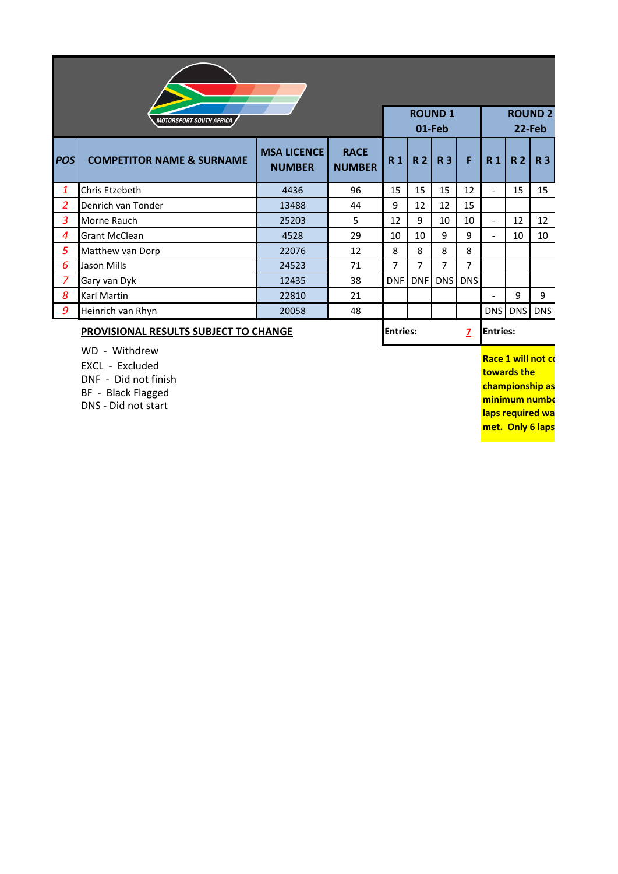|                | <b>MOTORSPORT SOUTH AFRICA</b>       | <b>ROUND1</b><br><b>ROUND 2</b><br>01-Feb<br>22-Feb |                              |                |                |            |                |                          |                |            |  |  |  |  |
|----------------|--------------------------------------|-----------------------------------------------------|------------------------------|----------------|----------------|------------|----------------|--------------------------|----------------|------------|--|--|--|--|
| <b>POS</b>     | <b>COMPETITOR NAME &amp; SURNAME</b> | <b>MSA LICENCE</b><br><b>NUMBER</b>                 | <b>RACE</b><br><b>NUMBER</b> | R <sub>1</sub> | R <sub>2</sub> | <b>R3</b>  | F              | R <sub>1</sub>           | R <sub>2</sub> | <b>R3</b>  |  |  |  |  |
| 1              | Chris Etzebeth                       | 4436                                                | 96                           | 15             | 15             | 15         | 12             | $\overline{\phantom{a}}$ | 15             | 15         |  |  |  |  |
| $\overline{2}$ | Denrich van Tonder                   | 13488                                               | 44                           | 9              | 12             | 12         | 15             |                          |                |            |  |  |  |  |
| 3              | Morne Rauch                          | 25203                                               | 5                            | 12             | 9              | 10         | 10             | $\overline{\phantom{a}}$ | 12             | 12         |  |  |  |  |
| 4              | <b>Grant McClean</b>                 | 4528                                                | 29                           | 10             | 10             | 9          | 9              | $\overline{\phantom{a}}$ | 10             | 10         |  |  |  |  |
| 5              | Matthew van Dorp                     | 22076                                               | 12                           | 8              | 8              | 8          | 8              |                          |                |            |  |  |  |  |
| 6              | Jason Mills                          | 24523                                               | 71                           | $\overline{7}$ | 7              | 7          | $\overline{7}$ |                          |                |            |  |  |  |  |
| 7              | Gary van Dyk                         | 12435                                               | 38                           | <b>DNF</b>     | <b>DNF</b>     | <b>DNS</b> | <b>DNS</b>     |                          |                |            |  |  |  |  |
| 8              | Karl Martin                          | 22810                                               | 21                           |                |                |            |                |                          | 9              | 9          |  |  |  |  |
| 9              | Heinrich van Rhyn                    | 20058                                               | 48                           |                |                |            |                | DNS                      | DNS            | <b>DNS</b> |  |  |  |  |
|                |                                      |                                                     |                              |                |                |            |                |                          |                |            |  |  |  |  |

## **PROVISIONAL RESULTS SUBJECT TO CHANGE Entries: Entries: Entries:**

**7**

WD - Withdrew EXCL - Excluded DNF - Did not finish BF - Black Flagged

DNS - Did not start

**Race 1 will not co towards the championship as minimum numbe laps required wa met. Only 6 laps**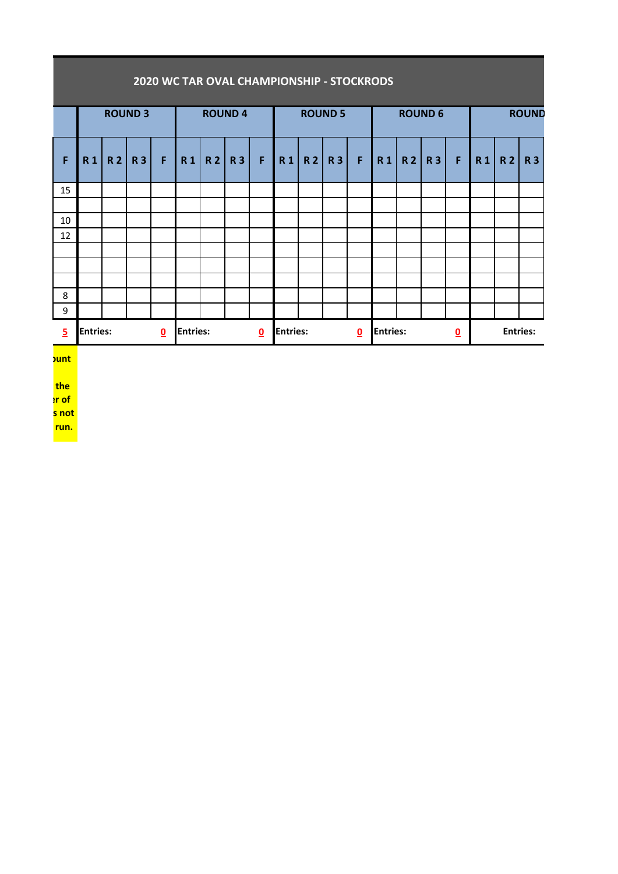|                |                                            |                |                |   |  |                 | 2020 WC TAR OVAL CHAMPIONSHIP - STOCKRODS |                          |                 |       |                |   |                 |          |                |                 |  |       |           |  |
|----------------|--------------------------------------------|----------------|----------------|---|--|-----------------|-------------------------------------------|--------------------------|-----------------|-------|----------------|---|-----------------|----------|----------------|-----------------|--|-------|-----------|--|
|                |                                            |                | <b>ROUND 3</b> |   |  |                 | <b>ROUND 4</b>                            |                          |                 |       | <b>ROUND 5</b> |   |                 |          | <b>ROUND 6</b> | <b>ROUND</b>    |  |       |           |  |
| F              | R1                                         | R <sub>2</sub> | R3             | F |  |                 | R1 R2 R3                                  | $\mathsf{F}$             |                 | R1 R2 | <b>R3</b>      | F |                 | $R1 R2 $ | R3             | F               |  | R1 R2 | <b>R3</b> |  |
| 15             |                                            |                |                |   |  |                 |                                           |                          |                 |       |                |   |                 |          |                |                 |  |       |           |  |
|                |                                            |                |                |   |  |                 |                                           |                          |                 |       |                |   |                 |          |                |                 |  |       |           |  |
| 10             |                                            |                |                |   |  |                 |                                           |                          |                 |       |                |   |                 |          |                |                 |  |       |           |  |
| 12             |                                            |                |                |   |  |                 |                                           |                          |                 |       |                |   |                 |          |                |                 |  |       |           |  |
|                |                                            |                |                |   |  |                 |                                           |                          |                 |       |                |   |                 |          |                |                 |  |       |           |  |
|                |                                            |                |                |   |  |                 |                                           |                          |                 |       |                |   |                 |          |                |                 |  |       |           |  |
|                |                                            |                |                |   |  |                 |                                           |                          |                 |       |                |   |                 |          |                |                 |  |       |           |  |
| 8              |                                            |                |                |   |  |                 |                                           |                          |                 |       |                |   |                 |          |                |                 |  |       |           |  |
| 9              |                                            |                |                |   |  |                 |                                           |                          |                 |       |                |   |                 |          |                |                 |  |       |           |  |
| $\overline{5}$ | <b>Entries:</b><br>$\overline{\mathbf{0}}$ |                |                |   |  | <b>Entries:</b> |                                           | $\underline{\mathbf{0}}$ | <b>Entries:</b> |       |                | 0 | <b>Entries:</b> |          |                | <b>Entries:</b> |  |       |           |  |

**<u>Punt</u>** 

<u> Tanzania (h. 1888).</u>

**champions** 

<mark>r of</mark> <mark>s not</mark>

**run.**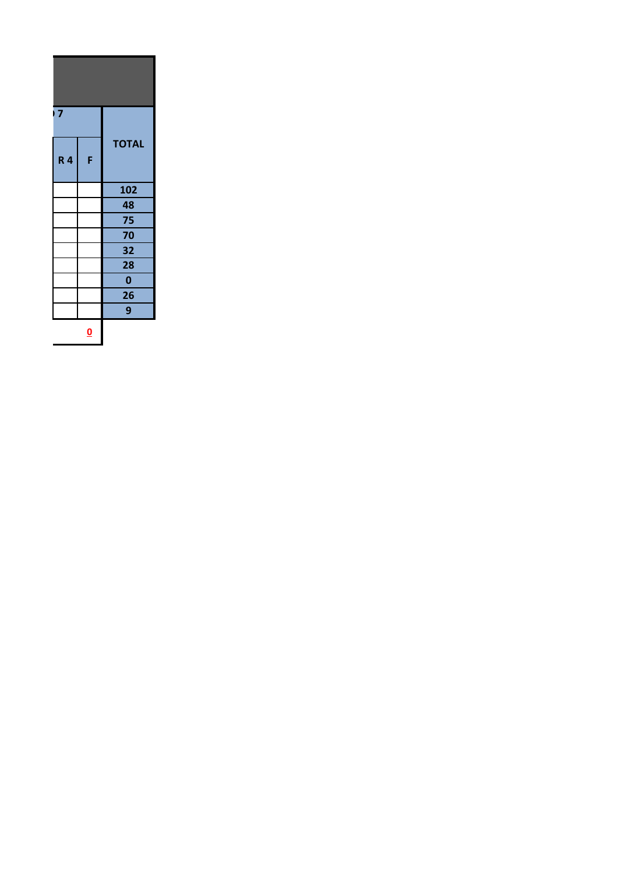| $\overline{7}$ |                         |              |  |
|----------------|-------------------------|--------------|--|
| <b>R4</b>      | F                       | <b>TOTAL</b> |  |
|                |                         | 102          |  |
|                |                         | 48           |  |
|                |                         | 75           |  |
|                |                         | 70           |  |
|                |                         | 32           |  |
|                |                         | 28           |  |
|                |                         | $\mathbf 0$  |  |
|                |                         | 26           |  |
|                |                         | 9            |  |
|                | $\overline{\mathbf{0}}$ |              |  |